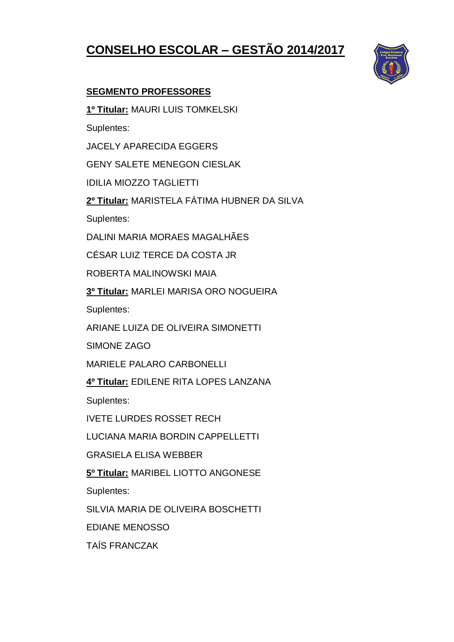# **CONSELHO ESCOLAR – GESTÃO 2014/2017**



## **SEGMENTO PROFESSORES**

**1º Titular:** MAURI LUIS TOMKELSKI

Suplentes:

JACELY APARECIDA EGGERS

GENY SALETE MENEGON CIESLAK

IDILIA MIOZZO TAGLIETTI

**2º Titular:** MARISTELA FÁTIMA HUBNER DA SILVA

Suplentes:

DALINI MARIA MORAES MAGALHÃES

CÉSAR LUIZ TERCE DA COSTA JR

ROBERTA MALINOWSKI MAIA

**3º Titular:** MARLEI MARISA ORO NOGUEIRA

Suplentes:

ARIANE LUIZA DE OLIVEIRA SIMONETTI

SIMONE ZAGO

MARIELE PALARO CARBONELLI

**4º Titular:** EDILENE RITA LOPES LANZANA

Suplentes:

IVETE LURDES ROSSET RECH

LUCIANA MARIA BORDIN CAPPELLETTI

GRASIELA ELISA WEBBER

**5º Titular:** MARIBEL LIOTTO ANGONESE

Suplentes:

SILVIA MARIA DE OLIVEIRA BOSCHETTI

EDIANE MENOSSO

TAÍS FRANCZAK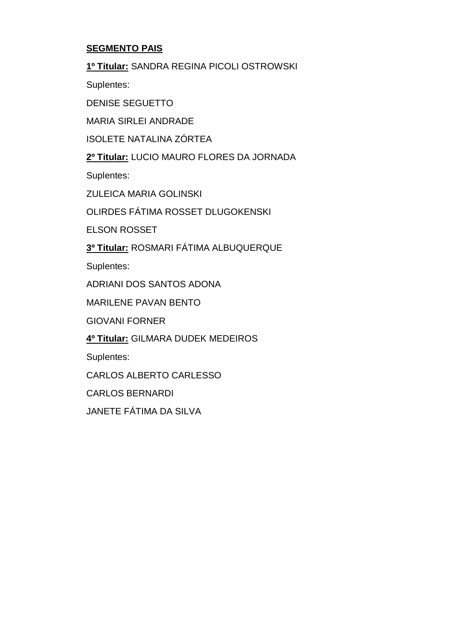### **SEGMENTO PAIS**

**1º Titular:** SANDRA REGINA PICOLI OSTROWSKI

Suplentes:

DENISE SEGUETTO

MARIA SIRLEI ANDRADE

ISOLETE NATALINA ZÓRTEA

**2º Titular:** LUCIO MAURO FLORES DA JORNADA

Suplentes:

ZULEICA MARIA GOLINSKI

OLIRDES FÁTIMA ROSSET DLUGOKENSKI

ELSON ROSSET

**3º Titular:** ROSMARI FÁTIMA ALBUQUERQUE

Suplentes:

ADRIANI DOS SANTOS ADONA

MARILENE PAVAN BENTO

GIOVANI FORNER

**4º Titular:** GILMARA DUDEK MEDEIROS

Suplentes:

CARLOS ALBERTO CARLESSO

CARLOS BERNARDI

JANETE FÁTIMA DA SILVA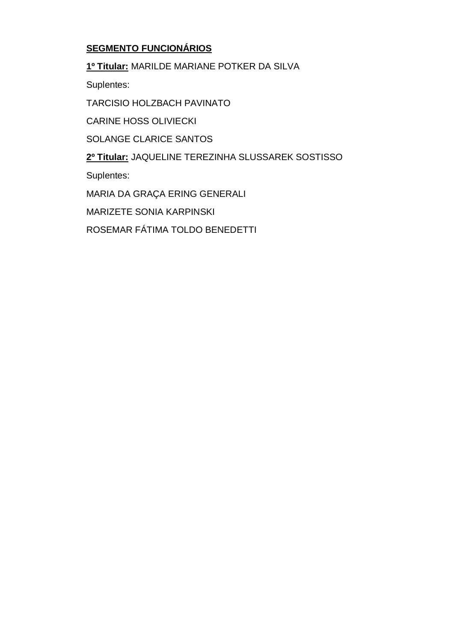## **SEGMENTO FUNCIONÁRIOS**

**1º Titular:** MARILDE MARIANE POTKER DA SILVA

Suplentes:

TARCISIO HOLZBACH PAVINATO

CARINE HOSS OLIVIECKI

SOLANGE CLARICE SANTOS

**2º Titular:** JAQUELINE TEREZINHA SLUSSAREK SOSTISSO

Suplentes:

MARIA DA GRAÇA ERING GENERALI

MARIZETE SONIA KARPINSKI

ROSEMAR FÁTIMA TOLDO BENEDETTI